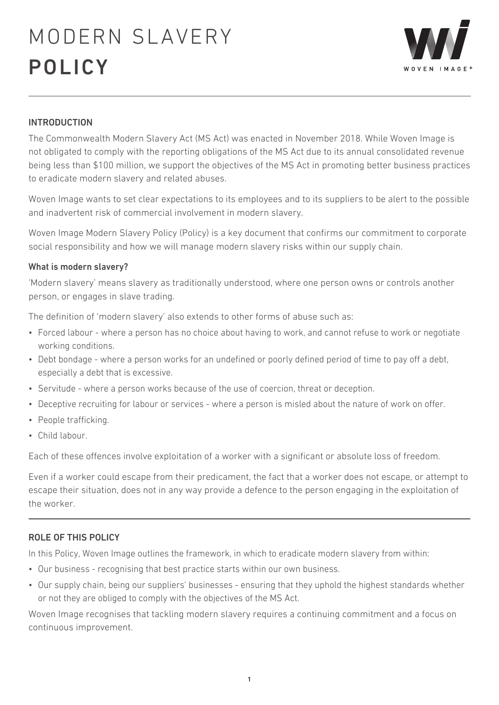

## INTRODUCTION

The Commonwealth Modern Slavery Act (MS Act) was enacted in November 2018. While Woven Image is not obligated to comply with the reporting obligations of the MS Act due to its annual consolidated revenue being less than \$100 million, we support the objectives of the MS Act in promoting better business practices to eradicate modern slavery and related abuses.

Woven Image wants to set clear expectations to its employees and to its suppliers to be alert to the possible and inadvertent risk of commercial involvement in modern slavery.

Woven Image Modern Slavery Policy (Policy) is a key document that confirms our commitment to corporate social responsibility and how we will manage modern slavery risks within our supply chain.

### What is modern slavery?

'Modern slavery' means slavery as traditionally understood, where one person owns or controls another person, or engages in slave trading.

The definition of 'modern slavery' also extends to other forms of abuse such as:

- Forced labour where a person has no choice about having to work, and cannot refuse to work or negotiate working conditions.
- Debt bondage where a person works for an undefined or poorly defined period of time to pay off a debt, especially a debt that is excessive.
- Servitude where a person works because of the use of coercion, threat or deception.
- Deceptive recruiting for labour or services where a person is misled about the nature of work on offer.
- People trafficking.
- Child labour.

Each of these offences involve exploitation of a worker with a significant or absolute loss of freedom.

Even if a worker could escape from their predicament, the fact that a worker does not escape, or attempt to escape their situation, does not in any way provide a defence to the person engaging in the exploitation of the worker.

### ROLE OF THIS POLICY

In this Policy, Woven Image outlines the framework, in which to eradicate modern slavery from within:

- Our business recognising that best practice starts within our own business.
- Our supply chain, being our suppliers' businesses ensuring that they uphold the highest standards whether or not they are obliged to comply with the objectives of the MS Act.

Woven Image recognises that tackling modern slavery requires a continuing commitment and a focus on continuous improvement.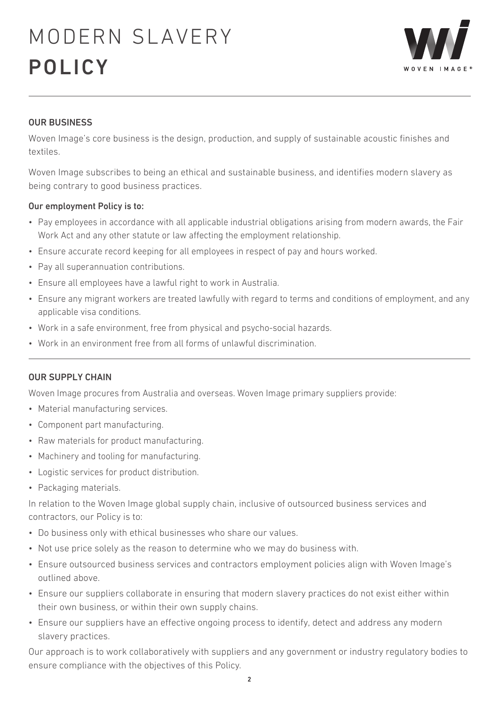

### OUR BUSINESS

Woven Image's core business is the design, production, and supply of sustainable acoustic finishes and textiles.

Woven Image subscribes to being an ethical and sustainable business, and identifies modern slavery as being contrary to good business practices.

### Our employment Policy is to:

- Pay employees in accordance with all applicable industrial obligations arising from modern awards, the Fair Work Act and any other statute or law affecting the employment relationship.
- Ensure accurate record keeping for all employees in respect of pay and hours worked.
- Pay all superannuation contributions.
- Ensure all employees have a lawful right to work in Australia.
- Ensure any migrant workers are treated lawfully with regard to terms and conditions of employment, and any applicable visa conditions.
- Work in a safe environment, free from physical and psycho-social hazards.
- Work in an environment free from all forms of unlawful discrimination.

#### OUR SUPPLY CHAIN

Woven Image procures from Australia and overseas. Woven Image primary suppliers provide:

- Material manufacturing services.
- Component part manufacturing.
- Raw materials for product manufacturing.
- Machinery and tooling for manufacturing.
- Logistic services for product distribution.
- Packaging materials.

In relation to the Woven Image global supply chain, inclusive of outsourced business services and contractors, our Policy is to:

- Do business only with ethical businesses who share our values.
- Not use price solely as the reason to determine who we may do business with.
- Ensure outsourced business services and contractors employment policies align with Woven Image's outlined above.
- Ensure our suppliers collaborate in ensuring that modern slavery practices do not exist either within their own business, or within their own supply chains.
- Ensure our suppliers have an effective ongoing process to identify, detect and address any modern slavery practices.

Our approach is to work collaboratively with suppliers and any government or industry regulatory bodies to ensure compliance with the objectives of this Policy.